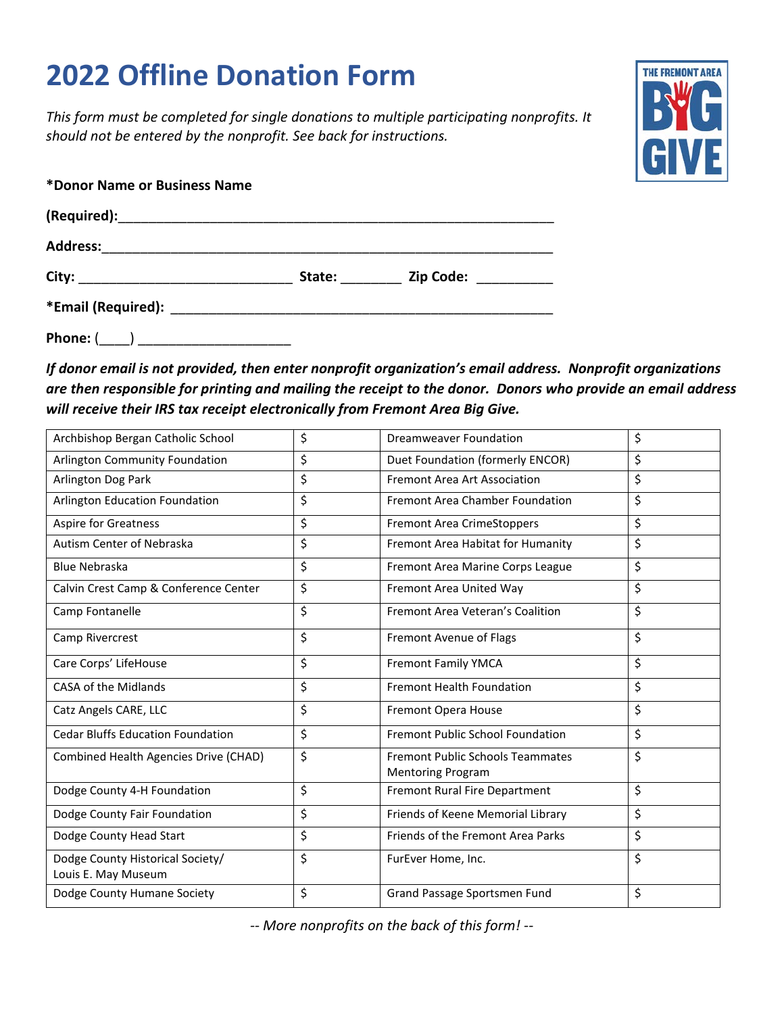## **2022 Offline Donation Form**

*This form must be completed for single donations to multiple participating nonprofits. It should not be entered by the nonprofit. See back for instructions.*



| *Donor Name or Business Name                                                                                                                                                                                                   |                                                                                                                                                                                                                                |                             |  |
|--------------------------------------------------------------------------------------------------------------------------------------------------------------------------------------------------------------------------------|--------------------------------------------------------------------------------------------------------------------------------------------------------------------------------------------------------------------------------|-----------------------------|--|
|                                                                                                                                                                                                                                |                                                                                                                                                                                                                                |                             |  |
| <b>Address:</b>                                                                                                                                                                                                                |                                                                                                                                                                                                                                |                             |  |
|                                                                                                                                                                                                                                | State: when the state of the state of the state of the state of the state of the state of the state of the state of the state of the state of the state of the state of the state of the state of the state of the state of th | Zip Code: <b>Alian Code</b> |  |
| *Email (Required): The main state of the state of the state of the state of the state of the state of the state of the state of the state of the state of the state of the state of the state of the state of the state of the |                                                                                                                                                                                                                                |                             |  |

**Phone:** (\_\_\_\_) \_\_\_\_\_\_\_\_\_\_\_\_\_\_\_\_\_\_\_\_

*If donor email is not provided, then enter nonprofit organization's email address. Nonprofit organizations are then responsible for printing and mailing the receipt to the donor. Donors who provide an email address will receive their IRS tax receipt electronically from Fremont Area Big Give.*

| Archbishop Bergan Catholic School                       | \$<br>\$<br><b>Dreamweaver Foundation</b>                                 |    |
|---------------------------------------------------------|---------------------------------------------------------------------------|----|
| Arlington Community Foundation                          | \$<br>Duet Foundation (formerly ENCOR)                                    | \$ |
| Arlington Dog Park                                      | \$<br>Fremont Area Art Association                                        | \$ |
| Arlington Education Foundation                          | \$<br><b>Fremont Area Chamber Foundation</b>                              | \$ |
| <b>Aspire for Greatness</b>                             | \$<br><b>Fremont Area CrimeStoppers</b>                                   | \$ |
| Autism Center of Nebraska                               | \$<br>Fremont Area Habitat for Humanity                                   | \$ |
| <b>Blue Nebraska</b>                                    | \$<br>Fremont Area Marine Corps League                                    | \$ |
| Calvin Crest Camp & Conference Center                   | \$<br>Fremont Area United Way                                             | \$ |
| Camp Fontanelle                                         | \$<br>Fremont Area Veteran's Coalition                                    | \$ |
| Camp Rivercrest                                         | \$<br><b>Fremont Avenue of Flags</b>                                      | \$ |
| Care Corps' LifeHouse                                   | \$<br>Fremont Family YMCA                                                 | \$ |
| CASA of the Midlands                                    | \$<br><b>Fremont Health Foundation</b>                                    | \$ |
| Catz Angels CARE, LLC                                   | \$<br>Fremont Opera House                                                 | \$ |
| <b>Cedar Bluffs Education Foundation</b>                | \$<br><b>Fremont Public School Foundation</b>                             | \$ |
| Combined Health Agencies Drive (CHAD)                   | \$<br><b>Fremont Public Schools Teammates</b><br><b>Mentoring Program</b> | \$ |
| Dodge County 4-H Foundation                             | \$<br>Fremont Rural Fire Department                                       | \$ |
| Dodge County Fair Foundation                            | \$<br>Friends of Keene Memorial Library                                   | \$ |
| Dodge County Head Start                                 | \$<br>Friends of the Fremont Area Parks                                   | \$ |
| Dodge County Historical Society/<br>Louis E. May Museum | \$<br>\$<br>FurEver Home, Inc.                                            |    |
| Dodge County Humane Society                             | \$<br>Grand Passage Sportsmen Fund                                        | \$ |

*-- More nonprofits on the back of this form! --*